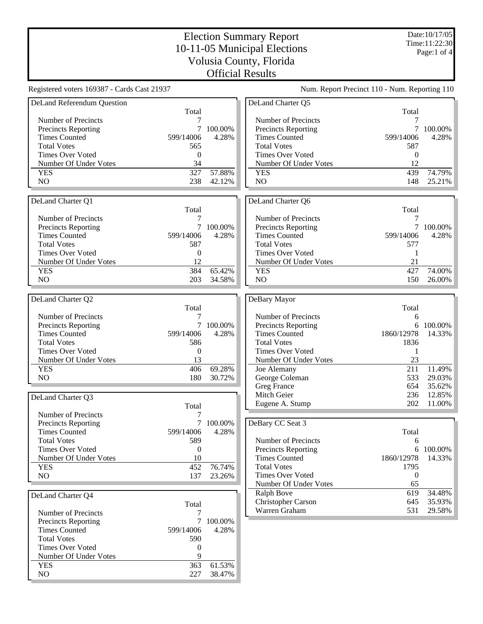Registered voters 169387 - Cards Cast 21937 Num. Report Precinct 110 - Num. Reporting 110 DeLand Referendum Question Total Number of Precincts<br>Precincts Reporting 7 100.00% Precincts Reporting Times Counted 599/14006 4.28% Total Votes 565 Times Over Voted 0 Number Of Under Votes 34 YES 327 57.88%<br>NO 238 42.12% NO 238 42.12% DeLand Charter Q1 Total Number of Precincts 7 Precincts Reporting 7 100.00%<br>Times Counted 599/14006 4.28% Times Counted Total Votes 587 Times Over Voted 0 Number Of Under Votes 12 YES 384 65.42% NO 203 34.58% DeLand Charter Q2 Total<br>7 Number of Precincts<br>
Precincts Reporting<br>
7 100.00% Precincts Reporting 7 100.00%<br>Times Counted 599/14006 4.28% Times Counted Total Votes 586 Times Over Voted 0<br>Number Of Under Votes 13 Number Of Under Votes YES 406 69.28% NO 180 30.72% DeLand Charter Q3 Total Number of Precincts 7 Precincts Reporting 7 100.00% Times Counted 599/14006 4.28% Total Votes 589 Times Over Voted 0 Number Of Under Votes 10 YES 452 76.74% NO 137 23.26% DeLand Charter Q4 Total Number of Precincts 7 Precincts Reporting 7 100.00% Times Counted 599/14006 4.28% Total Votes 590 Times Over Voted 0 Number Of Under Votes 9 YES 363 61.53% NO 227 38.47% DeLand Charter Q5 Total Number of Precincts<br>Precincts Reporting Text 2000/096 Precincts Reporting Times Counted 599/14006 4.28% Total Votes 587 Times Over Voted 0 Number Of Under Votes 12 YES 439 74.79%<br>NO 148 25.21% NO 148 25.21% DeLand Charter Q6 Total Number of Precincts 7 Precincts Reporting 7 100.00%<br>Times Counted 599/14006 4.28% Times Counted 599/14006 4.28% Total Votes 577 Times Over Voted 1<br>Number Of Under Votes 1 Number Of Under Votes YES 427 74.00% NO 150 26.00% DeBary Mayor Total Number of Precincts 6 Precincts Reporting 6 100.00%<br>Times Counted 1860/12978 14.33% Times Counted Total Votes 1836 Times Over Voted 1<br>Number Of Under Votes 23 Number Of Under Votes Joe Alemany 211 11.49% George Coleman 533 29.03%<br>Greg France 654 35.62% Greg France 654 Mitch Geier 236 12.85% Eugene A. Stump 202 11.00% DeBary CC Seat 3 Total Number of Precincts 6 Precincts Reporting 6 100.00% Times Counted 1860/12978 14.33% Total Votes 1795 Times Over Voted 0 Number Of Under Votes 65 Ralph Bove  $\overline{619}$  34.48% Christopher Carson 645 35.93% Warren Graham 531 29.58%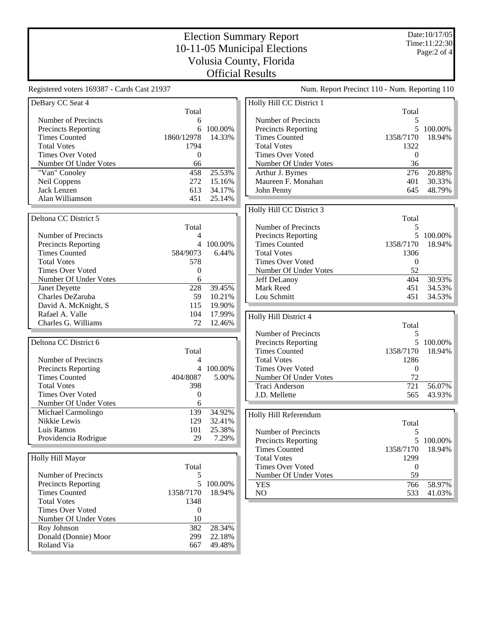Registered voters 169387 - Cards Cast 21937 Num. Report Precinct 110 - Num. Reporting 110 DeBary CC Seat 4 Total Number of Precincts<br>
Precincts Reporting<br>
6 100.00% Precincts Reporting Times Counted 1860/12978 14.33% Total Votes 1794 Times Over Voted 0 Number Of Under Votes 66 "Van" Conoley 158 25.53%<br>
Neil Coppens 272 15.16% Neil Coppens 272 Jack Lenzen 613 34.17% Alan Williamson 451 25.14% Deltona CC District 5 Total Number of Precincts 4 Precincts Reporting 4 100.00% Times Counted 584/9073 6.44% Total Votes 578 Times Over Voted 0 Number Of Under Votes 6 Janet Deyette 228 39.45% Charles DeZaruba 59 10.21% David A. McKnight, S 115 19.90% Rafael A. Valle 104 17.99% Charles G. Williams 72 12.46% Deltona CC District 6 Total Number of Precincts<br>
Precincts Reporting<br>  $4 \t 100.00\%$ Precincts Reporting  $4$ <br>Times Counted  $404/8087$ Times Counted 404/8087 5.00%<br>Total Votes 398 Total Votes 398<br>Times Over Voted 0 Times Over Voted Number Of Under Votes 6 Michael Carmolingo 139 34.92% Nikkie Lewis 129 32.41% Luis Ramos 101 25.38% Providencia Rodrigue 29 7.29% Holly Hill Mayor Total Number of Precincts 5 Precincts Reporting 5 100.00% Times Counted 1358/7170 18.94% Total Votes 1348 Times Over Voted 0 Number Of Under Votes 10 Roy Johnson 382 28.34% Donald (Donnie) Moor 299 22.18% Roland Via 667 49.48% Holly Hill CC District 1 Total Number of Precincts<br>Precincts Reporting Theory 3 and 5 100.00% Precincts Reporting Times Counted 1358/7170 18.94% Total Votes 1322 Times Over Voted 0 Number Of Under Votes 36 Arthur J. Byrnes 276 20.88%<br>Maureen F. Monahan 2002 276 20.33% Maureen F. Monahan John Penny 645 48.79% Holly Hill CC District 3 Total Number of Precincts<br>
Precincts Reporting<br>
5 100.00% Precincts Reporting Times Counted 1358/7170 18.94% Total Votes 1306 Times Over Voted 0 Number Of Under Votes 52 Jeff DeLanoy 404 30.93% Mark Reed Lou Schmitt 451 34.53% Holly Hill District 4 Total<br>5 Number of Precincts<br>
Precincts Reporting<br>
5 100.00% Precincts Reporting Times Counted 1358/7170 18.94% Total Votes 1286<br>Times Over Voted 0 Times Over Voted Number Of Under Votes 72 Traci Anderson 721 56.07% J.D. Mellette 565 43.93% Holly Hill Referendum Total Number of Precincts<br>
Precincts Reporting
Special Company 5 100.00% Precincts Reporting Times Counted 1358/7170 18.94% Total Votes 1299 Times Over Voted 0 Number Of Under Votes 59 YES 766 58.97% NO 533 41.03%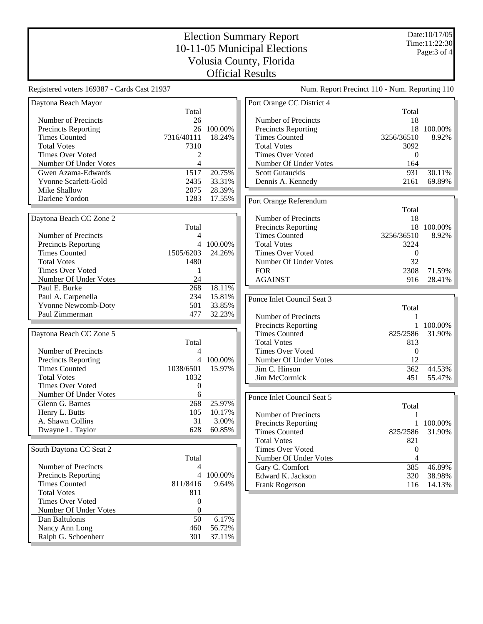Registered voters 169387 - Cards Cast 21937 Num. Report Precinct 110 - Num. Reporting 110 Daytona Beach Mayor Total Number of Precincts<br>
Precincts Reporting<br>
26 100.00% Precincts Reporting Times Counted 7316/40111 18.24% Total Votes 7310 Times Over Voted 2 Number Of Under Votes 4 Gwen Azama-Edwards 1517 20.75%<br>
Yvonne Scarlett-Gold 2435 33.31% Yvonne Scarlett-Gold Mike Shallow 2075 28.39% Darlene Yordon 1283 17.55% Daytona Beach CC Zone 2 Total Number of Precincts 4 Precincts Reporting 4 100.00% Times Counted 1505/6203 24.26% Total Votes 1480 Times Over Voted 1 Number Of Under Votes 24 Paul E. Burke 268 18.11% Paul A. Carpenella 234 15.81% Yvonne Newcomb-Doty 501 33.85% Paul Zimmerman 477 32.23% Daytona Beach CC Zone 5 Total Number of Precincts<br>
Precincts Reporting<br>  $4 \t 100.00\%$ Precincts Reporting  $4 \t100.00\%$ <br>Times Counted  $1038/6501 \t15.97\%$ Times Counted Total Votes 1032<br>Times Over Voted 0 Times Over Voted 0<br>Number Of Under Votes 6 Number Of Under Votes 6 Glenn G. Barnes 268 25.97%<br>
Henry L. Butts 105 10.17% Henry L. Butts A. Shawn Collins 31 3.00% Dwayne L. Taylor 628 60.85% South Daytona CC Seat 2 Total Number of Precincts 4 Precincts Reporting 4 100.00% Times Counted 811/8416 9.64% Total Votes 811 Times Over Voted 0 Number Of Under Votes 0 Dan Baltulonis 50 6.17% Nancy Ann Long 460 56.72% Ralph G. Schoenherr 301 37.11% Port Orange CC District 4 Total Number of Precincts<br>
Precincts Reporting<br>
18 100.00% Precincts Reporting Times Counted 3256/36510 8.92% Total Votes 3092 Times Over Voted 0 Number Of Under Votes 164 Scott Gutauckis 1931 30.11%<br>
Dennis A. Kennedy 1989% 2161 69.89% Dennis A. Kennedy Port Orange Referendum Total Number of Precincts 18 Precincts Reporting 18 100.00%<br>Times Counted 3256/36510 8.92% Times Counted 3256/36510 8.92%<br>Total Votes 3224 **Total Votes** Times Over Voted 0 Number Of Under Votes 32 FOR 2308 71.59% AGAINST 916 28.41% Ponce Inlet Council Seat 3 Total Number of Precincts 1 Precincts Reporting 1 100.00%<br>Times Counted 825/2586 31.90% Times Counted Total Votes 813 Times Over Voted 0<br>Number Of Under Votes 12 Number Of Under Votes Jim C. Hinson 362 44.53% Jim McCormick 451 55.47% Ponce Inlet Council Seat 5 Total Number of Precincts 1 Precincts Reporting 1 100.00% Times Counted 825/2586 31.90% Total Votes 821 Times Over Voted 0 Number Of Under Votes 4 Gary C. Comfort 385 46.89% Edward K. Jackson 320 38.98% Frank Rogerson 116 14.13%